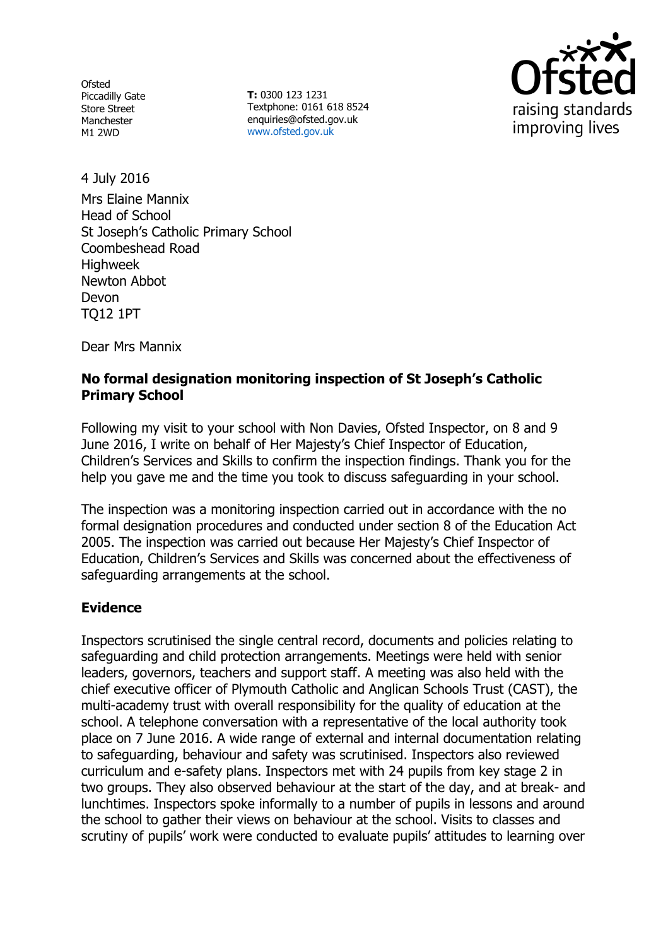**Ofsted** Piccadilly Gate Store Street Manchester M1 2WD

**T:** 0300 123 1231 Textphone: 0161 618 8524 enquiries@ofsted.gov.uk www.ofsted.gov.uk



4 July 2016

Mrs Elaine Mannix Head of School St Joseph's Catholic Primary School Coombeshead Road **Highweek** Newton Abbot Devon TQ12 1PT

Dear Mrs Mannix

## **No formal designation monitoring inspection of St Joseph's Catholic Primary School**

Following my visit to your school with Non Davies, Ofsted Inspector, on 8 and 9 June 2016, I write on behalf of Her Majesty's Chief Inspector of Education, Children's Services and Skills to confirm the inspection findings. Thank you for the help you gave me and the time you took to discuss safeguarding in your school.

The inspection was a monitoring inspection carried out in accordance with the no formal designation procedures and conducted under section 8 of the Education Act 2005. The inspection was carried out because Her Majesty's Chief Inspector of Education, Children's Services and Skills was concerned about the effectiveness of safeguarding arrangements at the school.

## **Evidence**

Inspectors scrutinised the single central record, documents and policies relating to safeguarding and child protection arrangements. Meetings were held with senior leaders, governors, teachers and support staff. A meeting was also held with the chief executive officer of Plymouth Catholic and Anglican Schools Trust (CAST), the multi-academy trust with overall responsibility for the quality of education at the school. A telephone conversation with a representative of the local authority took place on 7 June 2016. A wide range of external and internal documentation relating to safeguarding, behaviour and safety was scrutinised. Inspectors also reviewed curriculum and e-safety plans. Inspectors met with 24 pupils from key stage 2 in two groups. They also observed behaviour at the start of the day, and at break- and lunchtimes. Inspectors spoke informally to a number of pupils in lessons and around the school to gather their views on behaviour at the school. Visits to classes and scrutiny of pupils' work were conducted to evaluate pupils' attitudes to learning over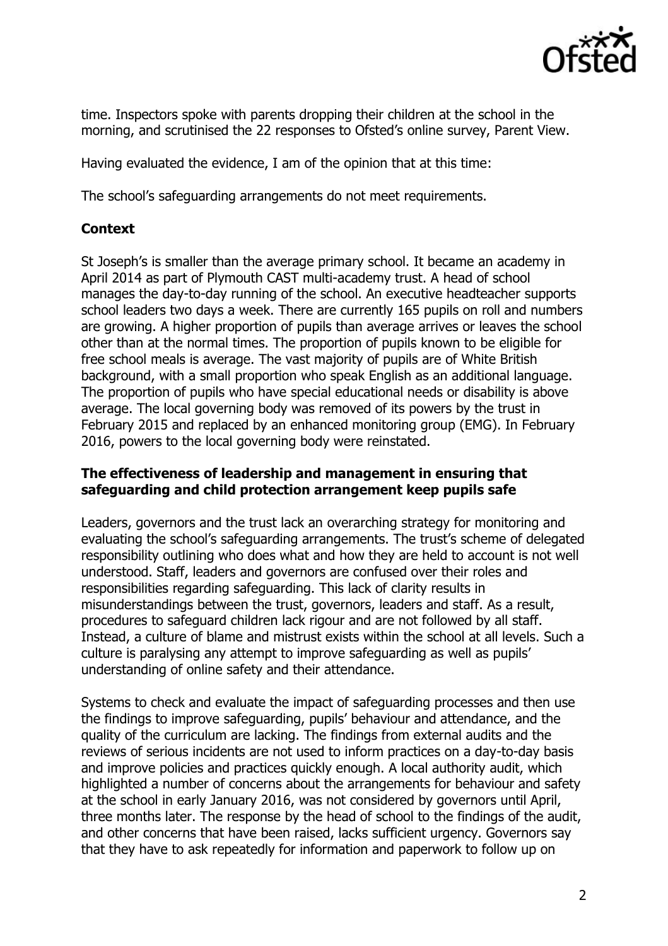

time. Inspectors spoke with parents dropping their children at the school in the morning, and scrutinised the 22 responses to Ofsted's online survey, Parent View.

Having evaluated the evidence, I am of the opinion that at this time:

The school's safeguarding arrangements do not meet requirements.

## **Context**

St Joseph's is smaller than the average primary school. It became an academy in April 2014 as part of Plymouth CAST multi-academy trust. A head of school manages the day-to-day running of the school. An executive headteacher supports school leaders two days a week. There are currently 165 pupils on roll and numbers are growing. A higher proportion of pupils than average arrives or leaves the school other than at the normal times. The proportion of pupils known to be eligible for free school meals is average. The vast majority of pupils are of White British background, with a small proportion who speak English as an additional language. The proportion of pupils who have special educational needs or disability is above average. The local governing body was removed of its powers by the trust in February 2015 and replaced by an enhanced monitoring group (EMG). In February 2016, powers to the local governing body were reinstated.

#### **The effectiveness of leadership and management in ensuring that safeguarding and child protection arrangement keep pupils safe**

Leaders, governors and the trust lack an overarching strategy for monitoring and evaluating the school's safeguarding arrangements. The trust's scheme of delegated responsibility outlining who does what and how they are held to account is not well understood. Staff, leaders and governors are confused over their roles and responsibilities regarding safeguarding. This lack of clarity results in misunderstandings between the trust, governors, leaders and staff. As a result, procedures to safeguard children lack rigour and are not followed by all staff. Instead, a culture of blame and mistrust exists within the school at all levels. Such a culture is paralysing any attempt to improve safeguarding as well as pupils' understanding of online safety and their attendance.

Systems to check and evaluate the impact of safeguarding processes and then use the findings to improve safeguarding, pupils' behaviour and attendance, and the quality of the curriculum are lacking. The findings from external audits and the reviews of serious incidents are not used to inform practices on a day-to-day basis and improve policies and practices quickly enough. A local authority audit, which highlighted a number of concerns about the arrangements for behaviour and safety at the school in early January 2016, was not considered by governors until April, three months later. The response by the head of school to the findings of the audit, and other concerns that have been raised, lacks sufficient urgency. Governors say that they have to ask repeatedly for information and paperwork to follow up on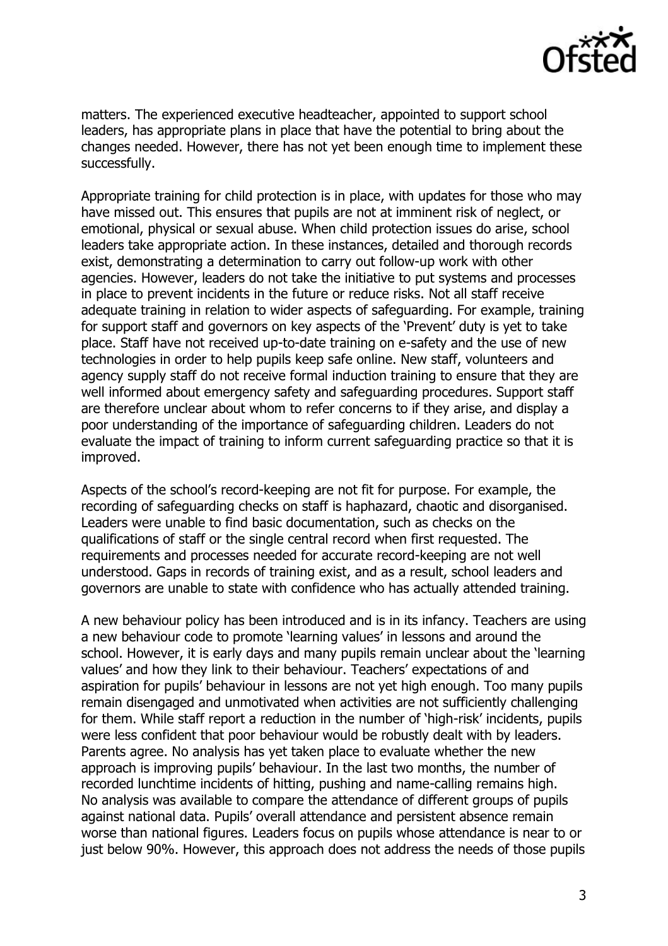

matters. The experienced executive headteacher, appointed to support school leaders, has appropriate plans in place that have the potential to bring about the changes needed. However, there has not yet been enough time to implement these successfully.

Appropriate training for child protection is in place, with updates for those who may have missed out. This ensures that pupils are not at imminent risk of neglect, or emotional, physical or sexual abuse. When child protection issues do arise, school leaders take appropriate action. In these instances, detailed and thorough records exist, demonstrating a determination to carry out follow-up work with other agencies. However, leaders do not take the initiative to put systems and processes in place to prevent incidents in the future or reduce risks. Not all staff receive adequate training in relation to wider aspects of safeguarding. For example, training for support staff and governors on key aspects of the 'Prevent' duty is yet to take place. Staff have not received up-to-date training on e-safety and the use of new technologies in order to help pupils keep safe online. New staff, volunteers and agency supply staff do not receive formal induction training to ensure that they are well informed about emergency safety and safeguarding procedures. Support staff are therefore unclear about whom to refer concerns to if they arise, and display a poor understanding of the importance of safeguarding children. Leaders do not evaluate the impact of training to inform current safeguarding practice so that it is improved.

Aspects of the school's record-keeping are not fit for purpose. For example, the recording of safeguarding checks on staff is haphazard, chaotic and disorganised. Leaders were unable to find basic documentation, such as checks on the qualifications of staff or the single central record when first requested. The requirements and processes needed for accurate record-keeping are not well understood. Gaps in records of training exist, and as a result, school leaders and governors are unable to state with confidence who has actually attended training.

A new behaviour policy has been introduced and is in its infancy. Teachers are using a new behaviour code to promote 'learning values' in lessons and around the school. However, it is early days and many pupils remain unclear about the 'learning values' and how they link to their behaviour. Teachers' expectations of and aspiration for pupils' behaviour in lessons are not yet high enough. Too many pupils remain disengaged and unmotivated when activities are not sufficiently challenging for them. While staff report a reduction in the number of 'high-risk' incidents, pupils were less confident that poor behaviour would be robustly dealt with by leaders. Parents agree. No analysis has yet taken place to evaluate whether the new approach is improving pupils' behaviour. In the last two months, the number of recorded lunchtime incidents of hitting, pushing and name-calling remains high. No analysis was available to compare the attendance of different groups of pupils against national data. Pupils' overall attendance and persistent absence remain worse than national figures. Leaders focus on pupils whose attendance is near to or just below 90%. However, this approach does not address the needs of those pupils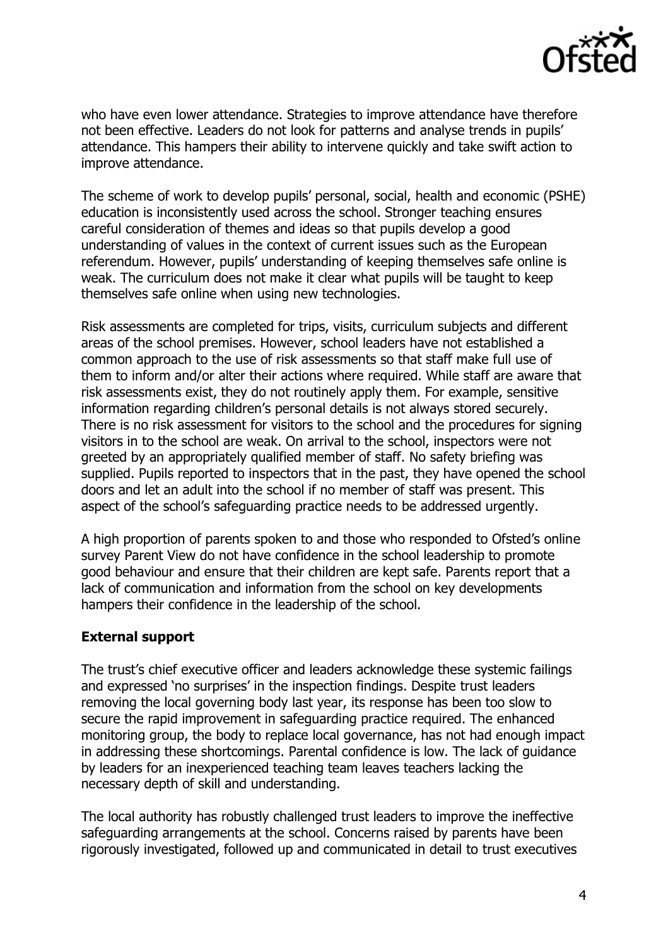

who have even lower attendance. Strategies to improve attendance have therefore not been effective. Leaders do not look for patterns and analyse trends in pupils' attendance. This hampers their ability to intervene quickly and take swift action to improve attendance.

The scheme of work to develop pupils' personal, social, health and economic (PSHE) education is inconsistently used across the school. Stronger teaching ensures careful consideration of themes and ideas so that pupils develop a good understanding of values in the context of current issues such as the European referendum. However, pupils' understanding of keeping themselves safe online is weak. The curriculum does not make it clear what pupils will be taught to keep themselves safe online when using new technologies.

Risk assessments are completed for trips, visits, curriculum subjects and different areas of the school premises. However, school leaders have not established a common approach to the use of risk assessments so that staff make full use of them to inform and/or alter their actions where required. While staff are aware that risk assessments exist, they do not routinely apply them. For example, sensitive information regarding children's personal details is not always stored securely. There is no risk assessment for visitors to the school and the procedures for signing visitors in to the school are weak. On arrival to the school, inspectors were not greeted by an appropriately qualified member of staff. No safety briefing was supplied. Pupils reported to inspectors that in the past, they have opened the school doors and let an adult into the school if no member of staff was present. This aspect of the school's safeguarding practice needs to be addressed urgently.

A high proportion of parents spoken to and those who responded to Ofsted's online survey Parent View do not have confidence in the school leadership to promote good behaviour and ensure that their children are kept safe. Parents report that a lack of communication and information from the school on key developments hampers their confidence in the leadership of the school.

## **External support**

The trust's chief executive officer and leaders acknowledge these systemic failings and expressed 'no surprises' in the inspection findings. Despite trust leaders removing the local governing body last year, its response has been too slow to secure the rapid improvement in safeguarding practice required. The enhanced monitoring group, the body to replace local governance, has not had enough impact in addressing these shortcomings. Parental confidence is low. The lack of guidance by leaders for an inexperienced teaching team leaves teachers lacking the necessary depth of skill and understanding.

The local authority has robustly challenged trust leaders to improve the ineffective safeguarding arrangements at the school. Concerns raised by parents have been rigorously investigated, followed up and communicated in detail to trust executives